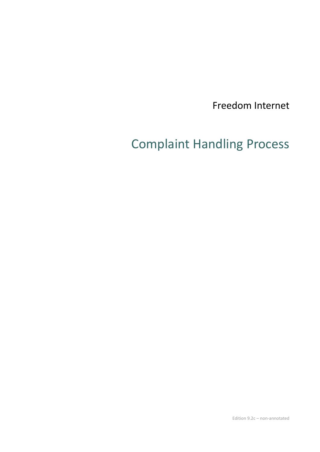Freedom Internet

# Complaint Handling Process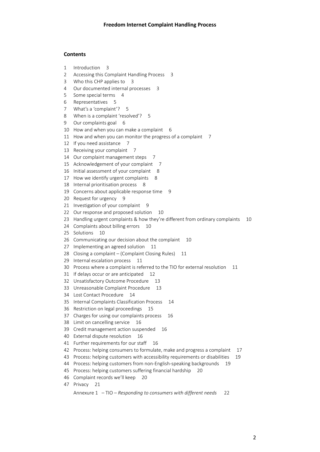#### **Contents**

- 1 Introduction 3
- 2 Accessing this Complaint Handling Process 3
- 3 Who this CHP applies to 3
- 4 Our documented internal processes 3
- 5 Some special terms 4
- 6 Representatives 5
- 7 What's a 'complaint'? 5
- 8 When is a complaint 'resolved'? 5
- 9 Our complaints goal 6
- 10 How and when you can make a complaint 6
- 11 How and when you can monitor the progress of a complaint 7
- 12 If you need assistance 7
- 13 Receiving your complaint 7
- 14 Our complaint management steps 7
- 15 Acknowledgement of your complaint 7
- 16 Initial assessment of your complaint 8
- 17 How we identify urgent complaints 8
- 18 Internal prioritisation process 8
- 19 Concerns about applicable response time 9
- 20 Request for urgency 9
- 21 Investigation of your complaint 9
- 22 Our response and proposed solution 10
- 23 Handling urgent complaints & how they're different from ordinary complaints 10
- 24 Complaints about billing errors 10
- 25 Solutions 10
- 26 Communicating our decision about the complaint 10
- 27 Implementing an agreed solution 11
- 28 Closing a complaint (Complaint Closing Rules) 11
- 29 Internal escalation process 11
- 30 Process where a complaint is referred to the TIO for external resolution 11
- 31 If delays occur or are anticipated 12
- 32 Unsatisfactory Outcome Procedure 13
- 33 Unreasonable Complaint Procedure 13
- 34 Lost Contact Procedure 14
- 35 Internal Complaints Classification Process 14
- 36 Restriction on legal proceedings 15
- 37 Charges for using our complaints process 16
- 38 Limit on cancelling service 16
- 39 Credit management action suspended 16
- 40 External dispute resolution 16
- 41 Further requirements for our staff 16
- 42 Process: helping consumers to formulate, make and progress a complaint 17
- 43 Process: helping customers with accessibility requirements or disabilities 19
- 44 Process: helping customers from non-English-speaking backgrounds 19
- 45 Process: helping customers suffering financial hardship 20
- 46 Complaint records we'll keep 20
- 47 Privacy 21

Annexure 1 – TIO – *Responding to consumers with different needs* 22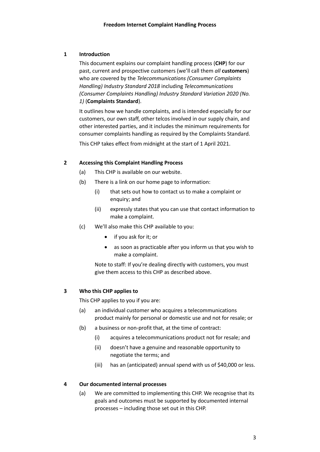## **1 Introduction**

This document explains our complaint handling process (**CHP**) for our past, current and prospective customers (we'll call them *all* **customers**) who are covered by the *Telecommunications (Consumer Complaints Handling) Industry Standard 2018* including *Telecommunications (Consumer Complaints Handling) Industry Standard Variation 2020 (No. 1)* (**Complaints Standard**).

It outlines how we handle complaints, and is intended especially for our customers, our own staff, other telcos involved in our supply chain, and other interested parties, and it includes the minimum requirements for consumer complaints handling as required by the Complaints Standard.

This CHP takes effect from midnight at the start of 1 April 2021.

## **2 Accessing this Complaint Handling Process**

- (a) This CHP is available on our website.
- (b) There is a link on our home page to information:
	- (i) that sets out how to contact us to make a complaint or enquiry; and
	- (ii) expressly states that you can use that contact information to make a complaint.
- (c) We'll also make this CHP available to you:
	- if you ask for it; or
	- as soon as practicable after you inform us that you wish to make a complaint.

Note to staff: If you're dealing directly with customers, you must give them access to this CHP as described above.

## **3 Who this CHP applies to**

This CHP applies to you if you are:

- (a) an individual customer who acquires a telecommunications product mainly for personal or domestic use and not for resale; or
- (b) a business or non-profit that, at the time of contract:
	- (i) acquires a telecommunications product not for resale; and
	- (ii) doesn't have a genuine and reasonable opportunity to negotiate the terms; and
	- (iii) has an (anticipated) annual spend with us of \$40,000 or less.

## **4 Our documented internal processes**

(a) We are committed to implementing this CHP. We recognise that its goals and outcomes must be supported by documented internal processes – including those set out in this CHP.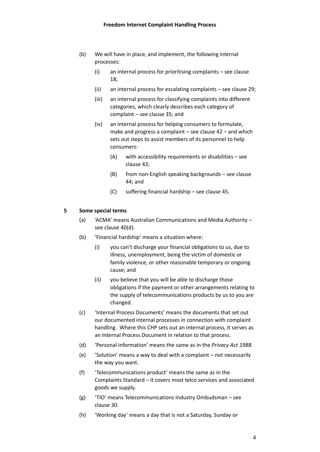- (b) We will have in place, and implement, the following internal processes:
	- (i) an internal process for prioritising complaints see clause [18;](#page-7-0)
	- (ii) an internal process for escalating complaints see clause [29;](#page-10-0)
	- (iii) an internal process for classifying complaints into different categories, which clearly describes each category of complaint – see claus[e 35;](#page-13-0) and
	- (iv) an internal process for helping consumers to formulate, make and progress a complaint – see clause [42](#page-15-0) – and which sets out steps to assist members of its personnel to help consumers:
		- (A) with accessibility requirements or disabilities see claus[e 43;](#page-17-0)
		- (B) from non-English speaking backgrounds see clause [44;](#page-18-0) and
		- (C) suffering financial hardship see claus[e 45.](#page-18-1)

#### **5 Some special terms**

- (a) 'ACMA' means Australian Communications and Media Authority see claus[e 40](#page-14-0)[\(d\).](#page-15-1)
- (b) 'Financial hardship' means a situation where:
	- (i) you can't discharge your financial obligations to us, due to illness, unemployment, being the victim of domestic or family violence, or other reasonable temporary or ongoing cause; and
	- (ii) you believe that you will be able to discharge those obligations if the payment or other arrangements relating to the supply of telecommunications products by us to you are changed.
- (c) 'Internal Process Documents' means the documents that set out our documented internal processes in connection with complaint handling. Where this CHP sets out an internal process, it serves as an Internal Process Document in relation to that process.
- (d) 'Personal information' means the same as in the *Privacy Act 1988*.
- (e) 'Solution' means a way to deal with a complaint not necessarily the way you want.
- (f) 'Telecommunications product' means the same as in the Complaints Standard – it covers most telco services and associated goods we supply.
- (g) 'TIO' means Telecommunications Industry Ombudsman see clause [30.](#page-10-1)
- (h) 'Working day' means a day that is not a Saturday, Sunday or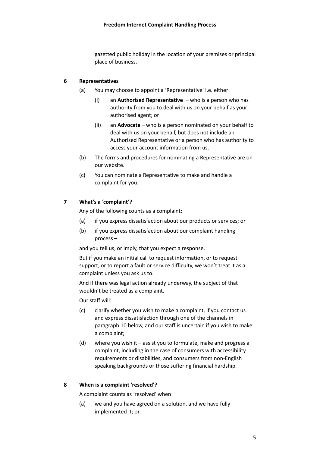gazetted public holiday in the location of your premises or principal place of business.

#### <span id="page-4-0"></span>**6 Representatives**

- (a) You may choose to appoint a 'Representative' i.e. either:
	- (i) an **Authorised Representative** who is a person who has authority from you to deal with us on your behalf as your authorised agent; or
	- (ii) an **Advocate** who is a person nominated on your behalf to deal with us on your behalf, but does not include an Authorised Representative or a person who has authority to access your account information from us.
- (b) The forms and procedures for nominating a Representative are on our website.
- (c) You can nominate a Representative to make and handle a complaint for you.

#### **7 What's a 'complaint'?**

Any of the following counts as a complaint:

- (a) if you express dissatisfaction about our products or services; or
- (b) if you express dissatisfaction about our complaint handling process –

and you tell us, or imply, that you expect a response.

But if you make an initial call to request information, or to request support, or to report a fault or service difficulty, we won't treat it as a complaint unless you ask us to.

And if there was legal action already underway, the subject of that wouldn't be treated as a complaint.

Our staff will:

- (c) clarify whether you wish to make a complaint, if you contact us and express dissatisfaction through one of the channels in paragraph [10](#page-5-0) [below,](#page-5-0) and our staff is uncertain if you wish to make a complaint;
- (d) where you wish it assist you to formulate, make and progress a complaint, including in the case of consumers with accessibility requirements or disabilities, and consumers from non-English speaking backgrounds or those suffering financial hardship.

#### **8 When is a complaint 'resolved'?**

A complaint counts as 'resolved' when:

(a) we and you have agreed on a solution, and we have fully implemented it; or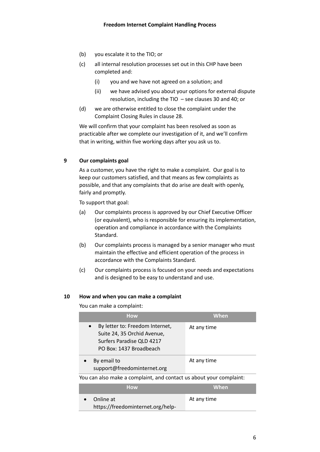- (b) you escalate it to the TIO; or
- (c) all internal resolution processes set out in this CHP have been completed and:
	- (i) you and we have not agreed on a solution; and
	- (ii) we have advised you about your options for external dispute resolution, including the TIO – see clauses [30](#page-10-1) and [40;](#page-14-0) or
- (d) we are otherwise entitled to close the complaint under the Complaint Closing Rules in clause [28.](#page-10-2)

We will confirm that your complaint has been resolved as soon as practicable after we complete our investigation of it, and we'll confirm that in writing, within five working days after you ask us to.

## **9 Our complaints goal**

As a customer, you have the right to make a complaint. Our goal is to keep our customers satisfied, and that means as few complaints as possible, and that any complaints that do arise are dealt with openly, fairly and promptly.

To support that goal:

- (a) Our complaints process is approved by our Chief Executive Officer (or equivalent), who is responsible for ensuring its implementation, operation and compliance in accordance with the Complaints Standard.
- (b) Our complaints process is managed by a senior manager who must maintain the effective and efficient operation of the process in accordance with the Complaints Standard.
- (c) Our complaints process is focused on your needs and expectations and is designed to be easy to understand and use.

## <span id="page-5-0"></span>**10 How and when you can make a complaint**

You can make a complaint:

| <b>How</b>                                                                                                             | When        |  |
|------------------------------------------------------------------------------------------------------------------------|-------------|--|
| By letter to: Freedom Internet,<br>Suite 24, 35 Orchid Avenue,<br>Surfers Paradise QLD 4217<br>PO Box: 1437 Broadbeach | At any time |  |
| By email to<br>support@freedominternet.org                                                                             | At any time |  |
| You can also make a complaint, and contact us about your complaint:                                                    |             |  |
| <b>How</b>                                                                                                             | When        |  |
| Online at                                                                                                              | At any time |  |

• Online at https://freedominternet.org/help-At any time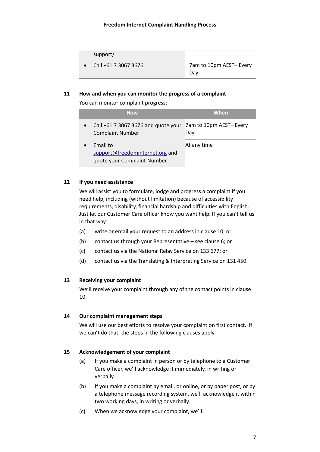| support/             |                               |
|----------------------|-------------------------------|
| Call +61 7 3067 3676 | 7am to 10pm AEST-Every<br>Dav |

#### **11 How and when you can monitor the progress of a complaint**

You can monitor complaint progress:

| <b>How</b>                                                                 | <b>When</b>                    |
|----------------------------------------------------------------------------|--------------------------------|
| Call +61 7 3067 3676 and quote your<br><b>Complaint Number</b>             | 7am to 10pm AEST- Every<br>Dav |
| Email to<br>support@freedominternet.org and<br>quote your Complaint Number | At any time                    |

#### **12 If you need assistance**

We will assist you to formulate, lodge and progress a complaint if you need help, including (without limitation) because of accessibility requirements, disability, financial hardship and difficulties with English. Just let our Customer Care officer know you want help. If you can't tell us in that way:

- (a) write or email your request to an address in claus[e 10;](#page-5-0) or
- (b) contact us through your Representative see clause [6;](#page-4-0) or
- (c) contact us via the National Relay Service on 133 677; or
- (d) contact us via the Translating & Interpreting Service on 131 450.

#### **13 Receiving your complaint**

We'll receive your complaint through any of the contact points in clause [10.](#page-5-0)

#### **14 Our complaint management steps**

We will use our best efforts to resolve your complaint on first contact. If we can't do that, the steps in the following clauses apply.

#### **15 Acknowledgement of your complaint**

- (a) If you make a complaint in person or by telephone to a Customer Care officer, we'll acknowledge it immediately, in writing or verbally.
- (b) If you make a complaint by email, or online, or by paper post, or by a telephone message recording system, we'll acknowledge it within two working days, in writing or verbally.
- (c) When we acknowledge your complaint, we'll: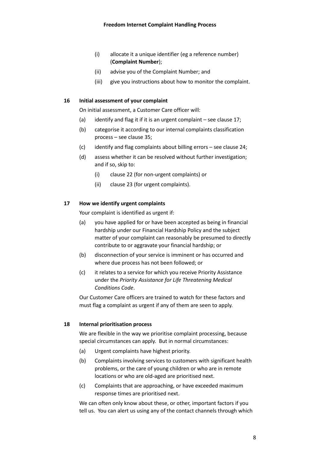- (i) allocate it a unique identifier (eg a reference number) (**Complaint Number**);
- (ii) advise you of the Complaint Number; and
- (iii) give you instructions about how to monitor the complaint.

#### **16 Initial assessment of your complaint**

On initial assessment, a Customer Care officer will:

- (a) identify and flag it if it is an urgent complaint see clause [17;](#page-7-1)
- (b) categorise it according to our internal complaints classification process – see clause [35;](#page-13-0)
- (c) identify and flag complaints about billing errors see clause [24;](#page-9-0)
- (d) assess whether it can be resolved without further investigation; and if so, skip to:
	- (i) claus[e 22](#page-9-1) (for non-urgent complaints) or
	- (ii) claus[e 23](#page-9-2) (for urgent complaints).

#### <span id="page-7-1"></span>**17 How we identify urgent complaints**

Your complaint is identified as urgent if:

- (a) you have applied for or have been accepted as being in financial hardship under our Financial Hardship Policy and the subject matter of your complaint can reasonably be presumed to directly contribute to or aggravate your financial hardship; or
- (b) disconnection of your service is imminent or has occurred and where due process has not been followed; or
- (c) it relates to a service for which you receive Priority Assistance under the *Priority Assistance for Life Threatening Medical Conditions Code*.

Our Customer Care officers are trained to watch for these factors and must flag a complaint as urgent if any of them are seen to apply.

#### <span id="page-7-0"></span>**18 Internal prioritisation process**

We are flexible in the way we prioritise complaint processing, because special circumstances can apply. But in normal circumstances:

- (a) Urgent complaints have highest priority.
- (b) Complaints involving services to customers with significant health problems, or the care of young children or who are in remote locations or who are old-aged are prioritised next.
- (c) Complaints that are approaching, or have exceeded maximum response times are prioritised next.

We can often only know about these, or other, important factors if you tell us. You can alert us using any of the contact channels through which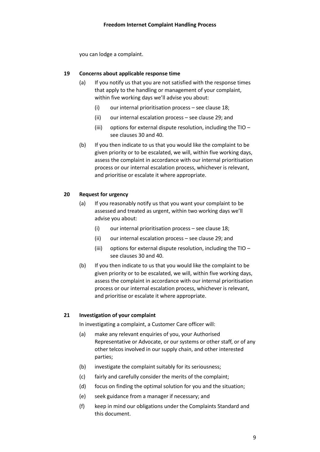you can lodge a complaint.

## **19 Concerns about applicable response time**

- (a) If you notify us that you are not satisfied with the response times that apply to the handling or management of your complaint, within five working days we'll advise you about:
	- (i) our internal prioritisation process see clause  $18$ ;
	- (ii) our internal escalation process see claus[e 29;](#page-10-0) and
	- (iii) options for external dispute resolution, including the TIO see clause[s 30](#page-10-1) an[d 40.](#page-14-0)
- (b) If you then indicate to us that you would like the complaint to be given priority or to be escalated, we will, within five working days, assess the complaint in accordance with our internal prioritisation process or our internal escalation process, whichever is relevant, and prioritise or escalate it where appropriate.

#### **20 Request for urgency**

- (a) If you reasonably notify us that you want your complaint to be assessed and treated as urgent, within two working days we'll advise you about:
	- (i) our internal prioritisation process see clause  $18$ ;
	- (ii) our internal escalation process see claus[e 29;](#page-10-0) and
	- (iii) options for external dispute resolution, including the TIO see clause[s 30](#page-10-1) an[d 40.](#page-14-0)
- (b) If you then indicate to us that you would like the complaint to be given priority or to be escalated, we will, within five working days, assess the complaint in accordance with our internal prioritisation process or our internal escalation process, whichever is relevant, and prioritise or escalate it where appropriate.

## **21 Investigation of your complaint**

In investigating a complaint, a Customer Care officer will:

- (a) make any relevant enquiries of you, your Authorised Representative or Advocate, or our systems or other staff, or of any other telcos involved in our supply chain, and other interested parties;
- (b) investigate the complaint suitably for its seriousness;
- (c) fairly and carefully consider the merits of the complaint;
- (d) focus on finding the optimal solution for you and the situation;
- (e) seek guidance from a manager if necessary; and
- (f) keep in mind our obligations under the Complaints Standard and this document.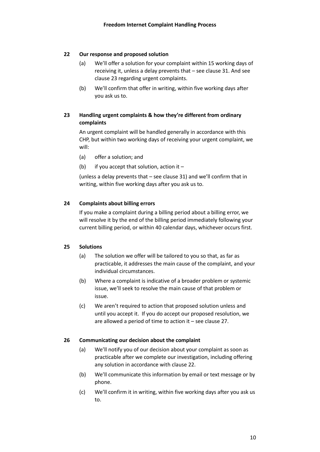#### <span id="page-9-1"></span>**22 Our response and proposed solution**

- (a) We'll offer a solution for your complaint within 15 working days of receiving it, unless a delay prevents that – see claus[e 31.](#page-11-0) And see clause [23](#page-9-2) regarding urgent complaints.
- (b) We'll confirm that offer in writing, within five working days after you ask us to.

## <span id="page-9-2"></span>**23 Handling urgent complaints & how they're different from ordinary complaints**

An urgent complaint will be handled generally in accordance with this CHP, but within two working days of receiving your urgent complaint, we will:

- (a) offer a solution; and
- (b) if you accept that solution, action it –

(unless a delay prevents that – see clause [31\)](#page-11-0) and we'll confirm that in writing, within five working days after you ask us to.

#### <span id="page-9-0"></span>**24 Complaints about billing errors**

If you make a complaint during a billing period about a billing error, we will resolve it by the end of the billing period immediately following your current billing period, or within 40 calendar days, whichever occurs first.

#### **25 Solutions**

- (a) The solution we offer will be tailored to you so that, as far as practicable, it addresses the main cause of the complaint, and your individual circumstances.
- (b) Where a complaint is indicative of a broader problem or systemic issue, we'll seek to resolve the main cause of that problem or issue.
- (c) We aren't required to action that proposed solution unless and until you accept it. If you do accept our proposed resolution, we are allowed a period of time to action it – see clause [27.](#page-10-3)

#### **26 Communicating our decision about the complaint**

- (a) We'll notify you of our decision about your complaint as soon as practicable after we complete our investigation, including offering any solution in accordance with claus[e 22.](#page-9-1)
- (b) We'll communicate this information by email or text message or by phone.
- (c) We'll confirm it in writing, within five working days after you ask us to.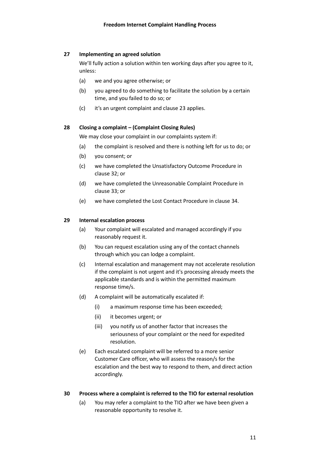## <span id="page-10-3"></span>**27 Implementing an agreed solution**

We'll fully action a solution within ten working days after you agree to it, unless:

- (a) we and you agree otherwise; or
- (b) you agreed to do something to facilitate the solution by a certain time, and you failed to do so; or
- (c) it's an urgent complaint and clause [23](#page-9-2) applies.

## <span id="page-10-2"></span>**28 Closing a complaint – (Complaint Closing Rules)**

We may close your complaint in our complaints system if:

- (a) the complaint is resolved and there is nothing left for us to do; or
- (b) you consent; or
- (c) we have completed the Unsatisfactory Outcome Procedure in clause [32;](#page-12-0) or
- (d) we have completed the Unreasonable Complaint Procedure in clause [33;](#page-12-1) or
- (e) we have completed the Lost Contact Procedure in clause [34.](#page-13-1)

## <span id="page-10-0"></span>**29 Internal escalation process**

- (a) Your complaint will escalated and managed accordingly if you reasonably request it.
- (b) You can request escalation using any of the contact channels through which you can lodge a complaint.
- (c) Internal escalation and management may not accelerate resolution if the complaint is not urgent and it's processing already meets the applicable standards and is within the permitted maximum response time/s.
- (d) A complaint will be automatically escalated if:
	- (i) a maximum response time has been exceeded;
	- (ii) it becomes urgent; or
	- (iii) you notify us of another factor that increases the seriousness of your complaint or the need for expedited resolution.
- (e) Each escalated complaint will be referred to a more senior Customer Care officer, who will assess the reason/s for the escalation and the best way to respond to them, and direct action accordingly.

## <span id="page-10-1"></span>**30 Process where a complaint is referred to the TIO for external resolution**

(a) You may refer a complaint to the TIO after we have been given a reasonable opportunity to resolve it.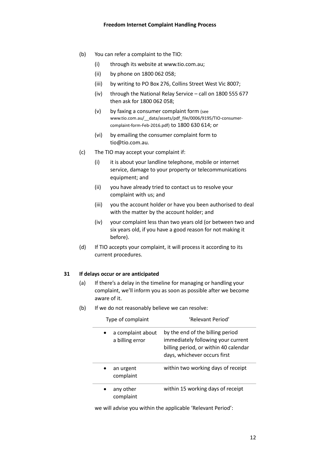- (b) You can refer a complaint to the TIO:
	- (i) through its website at www.tio.com.au;
	- (ii) by phone on 1800 062 058;
	- (iii) by writing to PO Box 276, Collins Street West Vic 8007;
	- (iv) through the National Relay Service call on 1800 555 677 then ask for 1800 062 058;
	- (v) by faxing a consumer complaint form (see www.tio.com.au/\_\_data/assets/pdf\_file/0006/9195/TIO-consumercomplaint-form-Feb-2016.pdf) to 1800 630 614; or
	- (vi) by emailing the consumer complaint form to tio@tio.com.au.
- (c) The TIO may accept your complaint if:
	- (i) it is about your landline telephone, mobile or internet service, damage to your property or telecommunications equipment; and
	- (ii) you have already tried to contact us to resolve your complaint with us; and
	- (iii) you the account holder or have you been authorised to deal with the matter by the account holder; and
	- (iv) your complaint less than two years old (or between two and six years old, if you have a good reason for not making it before).
- (d) If TIO accepts your complaint, it will process it according to its current procedures.

#### <span id="page-11-0"></span>**31 If delays occur or are anticipated**

- (a) If there's a delay in the timeline for managing or handling your complaint, we'll inform you as soon as possible after we become aware of it.
- (b) If we do not reasonably believe we can resolve:

| Type of complaint                    | 'Relevant Period'                                                                                                                               |
|--------------------------------------|-------------------------------------------------------------------------------------------------------------------------------------------------|
| a complaint about<br>a billing error | by the end of the billing period<br>immediately following your current<br>billing period, or within 40 calendar<br>days, whichever occurs first |
| an urgent<br>complaint               | within two working days of receipt                                                                                                              |
| any other<br>complaint               | within 15 working days of receipt                                                                                                               |

we will advise you within the applicable 'Relevant Period':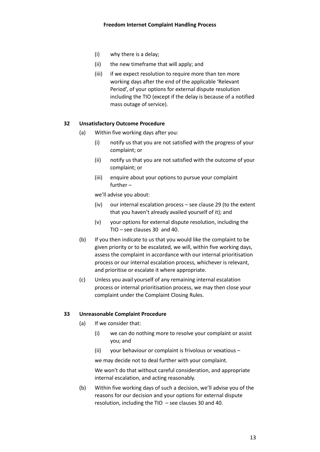- (i) why there is a delay;
- (ii) the new timeframe that will apply; and
- (iii) if we expect resolution to require more than ten more working days after the end of the applicable 'Relevant Period', of your options for external dispute resolution including the TIO (except if the delay is because of a notified mass outage of service).

#### <span id="page-12-0"></span>**32 Unsatisfactory Outcome Procedure**

- (a) Within five working days after you:
	- (i) notify us that you are not satisfied with the progress of your complaint; or
	- (ii) notify us that you are not satisfied with the outcome of your complaint; or
	- (iii) enquire about your options to pursue your complaint further –

we'll advise you about:

- (iv) our internal escalation process see claus[e 29](#page-10-0) (to the extent that you haven't already availed yourself of it); and
- (v) your options for external dispute resolution, including the TIO – see clause[s 30](#page-10-1) and [40.](#page-14-0)
- (b) If you then indicate to us that you would like the complaint to be given priority or to be escalated, we will, within five working days, assess the complaint in accordance with our internal prioritisation process or our internal escalation process, whichever is relevant, and prioritise or escalate it where appropriate.
- (c) Unless you avail yourself of any remaining internal escalation process or internal prioritisation process, we may then close your complaint under the Complaint Closing Rules.

#### <span id="page-12-1"></span>**33 Unreasonable Complaint Procedure**

- (a) If we consider that:
	- (i) we can do nothing more to resolve your complaint or assist you; and
	- (ii) your behaviour or complaint is frivolous or vexatious –

we may decide not to deal further with your complaint.

We won't do that without careful consideration, and appropriate internal escalation, and acting reasonably.

(b) Within five working days of such a decision, we'll advise you of the reasons for our decision and your options for external dispute resolution, including the TIO – see clause[s 30](#page-10-1) and [40.](#page-14-0)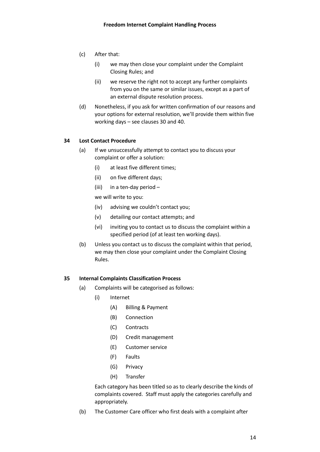- (c) After that:
	- (i) we may then close your complaint under the Complaint Closing Rules; and
	- (ii) we reserve the right not to accept any further complaints from you on the same or similar issues, except as a part of an external dispute resolution process.
- (d) Nonetheless, if you ask for written confirmation of our reasons and your options for external resolution, we'll provide them within five working days – see clauses [30](#page-10-1) an[d 40.](#page-14-0)

## <span id="page-13-1"></span>**34 Lost Contact Procedure**

- (a) If we unsuccessfully attempt to contact you to discuss your complaint or offer a solution:
	- (i) at least five different times;
	- (ii) on five different days;
	- (iii) in a ten-day period –

we will write to you:

- (iv) advising we couldn't contact you;
- (v) detailing our contact attempts; and
- (vi) inviting you to contact us to discuss the complaint within a specified period (of at least ten working days).
- (b) Unless you contact us to discuss the complaint within that period, we may then close your complaint under the Complaint Closing Rules.

## <span id="page-13-0"></span>**35 Internal Complaints Classification Process**

- (a) Complaints will be categorised as follows:
	- (i) Internet
		- (A) Billing & Payment
		- (B) Connection
		- (C) Contracts
		- (D) Credit management
		- (E) Customer service
		- (F) Faults
		- (G) Privacy
		- (H) Transfer

Each category has been titled so as to clearly describe the kinds of complaints covered. Staff must apply the categories carefully and appropriately.

(b) The Customer Care officer who first deals with a complaint after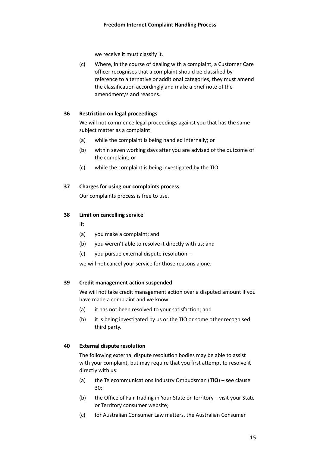we receive it must classify it.

(c) Where, in the course of dealing with a complaint, a Customer Care officer recognises that a complaint should be classified by reference to alternative or additional categories, they must amend the classification accordingly and make a brief note of the amendment/s and reasons.

#### **36 Restriction on legal proceedings**

We will not commence legal proceedings against you that has the same subject matter as a complaint:

- (a) while the complaint is being handled internally; or
- (b) within seven working days after you are advised of the outcome of the complaint; or
- (c) while the complaint is being investigated by the TIO.

#### **37 Charges for using our complaints process**

Our complaints process is free to use.

#### **38 Limit on cancelling service**

- If:
- (a) you make a complaint; and
- (b) you weren't able to resolve it directly with us; and
- (c) you pursue external dispute resolution –

we will not cancel your service for those reasons alone.

#### **39 Credit management action suspended**

We will not take credit management action over a disputed amount if you have made a complaint and we know:

- (a) it has not been resolved to your satisfaction; and
- (b) it is being investigated by us or the TIO or some other recognised third party.

## <span id="page-14-0"></span>**40 External dispute resolution**

The following external dispute resolution bodies may be able to assist with your complaint, but may require that you first attempt to resolve it directly with us:

- (a) the Telecommunications Industry Ombudsman (**TIO**) see clause [30;](#page-10-1)
- (b) the Office of Fair Trading in Your State or Territory visit your State or Territory consumer website;
- (c) for Australian Consumer Law matters, the Australian Consumer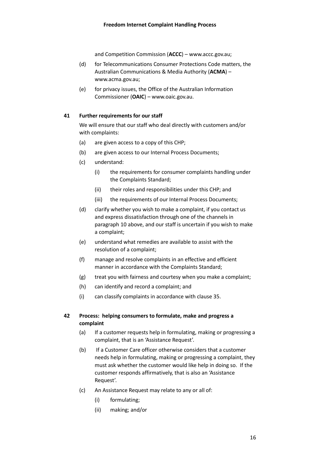and Competition Commission (**ACCC**) – www.accc.gov.au;

- <span id="page-15-1"></span>(d) for Telecommunications Consumer Protections Code matters, the Australian Communications & Media Authority (**ACMA**) – www.acma.gov.au;
- (e) for privacy issues, the Office of the Australian Information Commissioner (**OAIC**) – www.oaic.gov.au.

#### **41 Further requirements for our staff**

We will ensure that our staff who deal directly with customers and/or with complaints:

- (a) are given access to a copy of this CHP;
- (b) are given access to our Internal Process Documents;
- (c) understand:
	- (i) the requirements for consumer complaints handling under the Complaints Standard;
	- (ii) their roles and responsibilities under this CHP; and
	- (iii) the requirements of our Internal Process Documents;
- (d) clarify whether you wish to make a complaint, if you contact us and express dissatisfaction through one of the channels in paragraph [10](#page-5-0) [above,](#page-5-0) and our staff is uncertain if you wish to make a complaint;
- (e) understand what remedies are available to assist with the resolution of a complaint;
- (f) manage and resolve complaints in an effective and efficient manner in accordance with the Complaints Standard;
- (g) treat you with fairness and courtesy when you make a complaint;
- (h) can identify and record a complaint; and
- (i) can classify complaints in accordance with clause [35.](#page-13-0)

## <span id="page-15-0"></span>**42 Process: helping consumers to formulate, make and progress a complaint**

- (a) If a customer requests help in formulating, making or progressing a complaint, that is an 'Assistance Request'.
- (b) If a Customer Care officer otherwise considers that a customer needs help in formulating, making or progressing a complaint, they must ask whether the customer would like help in doing so. If the customer responds affirmatively, that is also an 'Assistance Request'.
- (c) An Assistance Request may relate to any or all of:
	- (i) formulating;
	- (ii) making; and/or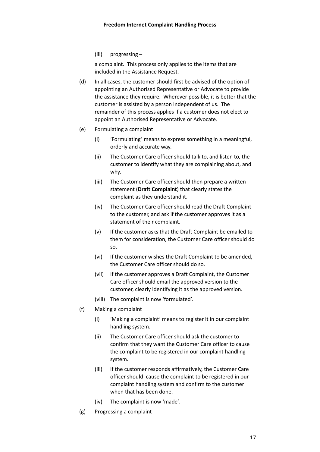(iii) progressing –

a complaint. This process only applies to the items that are included in the Assistance Request.

- (d) In all cases, the customer should first be advised of the option of appointing an Authorised Representative or Advocate to provide the assistance they require. Wherever possible, it is better that the customer is assisted by a person independent of us. The remainder of this process applies if a customer does not elect to appoint an Authorised Representative or Advocate.
- <span id="page-16-0"></span>(e) Formulating a complaint
	- (i) 'Formulating' means to express something in a meaningful, orderly and accurate way.
	- (ii) The Customer Care officer should talk to, and listen to, the customer to identify what they are complaining about, and why.
	- (iii) The Customer Care officer should then prepare a written statement (**Draft Complaint**) that clearly states the complaint as they understand it.
	- (iv) The Customer Care officer should read the Draft Complaint to the customer, and ask if the customer approves it as a statement of their complaint.
	- (v) If the customer asks that the Draft Complaint be emailed to them for consideration, the Customer Care officer should do so.
	- (vi) If the customer wishes the Draft Complaint to be amended, the Customer Care officer should do so.
	- (vii) If the customer approves a Draft Complaint, the Customer Care officer should email the approved version to the customer, clearly identifying it as the approved version.
	- (viii) The complaint is now 'formulated'.
- (f) Making a complaint
	- (i) 'Making a complaint' means to register it in our complaint handling system.
	- (ii) The Customer Care officer should ask the customer to confirm that they want the Customer Care officer to cause the complaint to be registered in our complaint handling system.
	- (iii) If the customer responds affirmatively, the Customer Care officer should cause the complaint to be registered in our complaint handling system and confirm to the customer when that has been done.
	- (iv) The complaint is now 'made'.
- (g) Progressing a complaint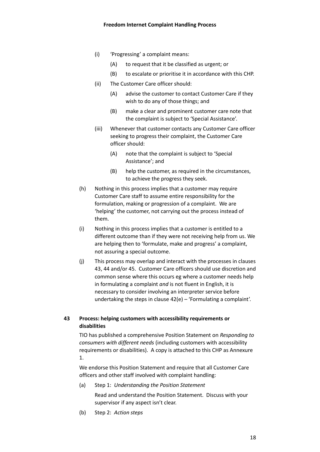- (i) 'Progressing' a complaint means:
	- (A) to request that it be classified as urgent; or
	- (B) to escalate or prioritise it in accordance with this CHP.
- (ii) The Customer Care officer should:
	- (A) advise the customer to contact Customer Care if they wish to do any of those things; and
	- (B) make a clear and prominent customer care note that the complaint is subject to 'Special Assistance'.
- (iii) Whenever that customer contacts any Customer Care officer seeking to progress their complaint, the Customer Care officer should:
	- (A) note that the complaint is subject to 'Special Assistance'; and
	- (B) help the customer, as required in the circumstances, to achieve the progress they seek.
- (h) Nothing in this process implies that a customer may require Customer Care staff to assume entire responsibility for the formulation, making or progression of a complaint. We are 'helping' the customer, not carrying out the process instead of them.
- (i) Nothing in this process implies that a customer is entitled to a different outcome than if they were not receiving help from us. We are helping then to 'formulate, make and progress' a complaint, not assuring a special outcome.
- (j) This process may overlap and interact with the processes in clauses [43,](#page-17-0) [44](#page-18-0) and/o[r 45.](#page-18-1) Customer Care officers should use discretion and common sense where this occurs eg where a customer needs help in formulating a complaint *and* is not fluent in English, it is necessary to consider involving an interpreter service before undertaking the steps in clause [42](#page-15-0)[\(e\)](#page-16-0) – 'Formulating a complaint'.

## <span id="page-17-0"></span>**43 Process: helping customers with accessibility requirements or disabilities**

TIO has published a comprehensive Position Statement on *Responding to consumers with different needs* (including customers with accessibility requirements or disabilities). A copy is attached to this CHP as [Annexure](#page-20-0)  [1.](#page-20-0)

We endorse this Position Statement and require that all Customer Care officers and other staff involved with complaint handling:

(a) Step 1: *Understanding the Position Statement*

Read and understand the Position Statement. Discuss with your supervisor if any aspect isn't clear.

(b) Step 2: *Action steps*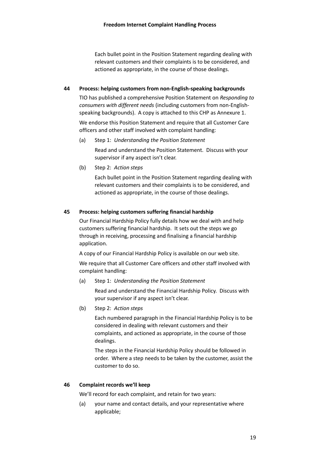Each bullet point in the Position Statement regarding dealing with relevant customers and their complaints is to be considered, and actioned as appropriate, in the course of those dealings.

## <span id="page-18-0"></span>**44 Process: helping customers from non-English-speaking backgrounds**

TIO has published a comprehensive Position Statement on *Responding to consumers with different needs* (including customers from non-Englishspeaking backgrounds). A copy is attached to this CHP as [Annexure 1.](#page-20-0)

We endorse this Position Statement and require that all Customer Care officers and other staff involved with complaint handling:

(a) Step 1: *Understanding the Position Statement*

Read and understand the Position Statement. Discuss with your supervisor if any aspect isn't clear.

(b) Step 2: *Action steps*

Each bullet point in the Position Statement regarding dealing with relevant customers and their complaints is to be considered, and actioned as appropriate, in the course of those dealings.

## <span id="page-18-1"></span>**45 Process: helping customers suffering financial hardship**

Our Financial Hardship Policy fully details how we deal with and help customers suffering financial hardship. It sets out the steps we go through in receiving, processing and finalising a financial hardship application.

A copy of our Financial Hardship Policy is available on our web site.

We require that all Customer Care officers and other staff involved with complaint handling:

(a) Step 1: *Understanding the Position Statement*

Read and understand the Financial Hardship Policy. Discuss with your supervisor if any aspect isn't clear.

(b) Step 2: *Action steps*

Each numbered paragraph in the Financial Hardship Policy is to be considered in dealing with relevant customers and their complaints, and actioned as appropriate, in the course of those dealings.

The steps in the Financial Hardship Policy should be followed in order. Where a step needs to be taken by the customer, assist the customer to do so.

## **46 Complaint records we'll keep**

We'll record for each complaint, and retain for two years:

(a) your name and contact details, and your representative where applicable;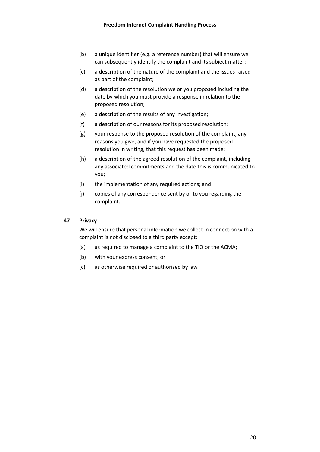- (b) a unique identifier (e.g. a reference number) that will ensure we can subsequently identify the complaint and its subject matter;
- (c) a description of the nature of the complaint and the issues raised as part of the complaint;
- (d) a description of the resolution we or you proposed including the date by which you must provide a response in relation to the proposed resolution;
- (e) a description of the results of any investigation;
- (f) a description of our reasons for its proposed resolution;
- (g) your response to the proposed resolution of the complaint, any reasons you give, and if you have requested the proposed resolution in writing, that this request has been made;
- (h) a description of the agreed resolution of the complaint, including any associated commitments and the date this is communicated to you;
- (i) the implementation of any required actions; and
- (j) copies of any correspondence sent by or to you regarding the complaint.

#### **47 Privacy**

We will ensure that personal information we collect in connection with a complaint is not disclosed to a third party except:

- (a) as required to manage a complaint to the TIO or the ACMA;
- (b) with your express consent; or
- (c) as otherwise required or authorised by law.